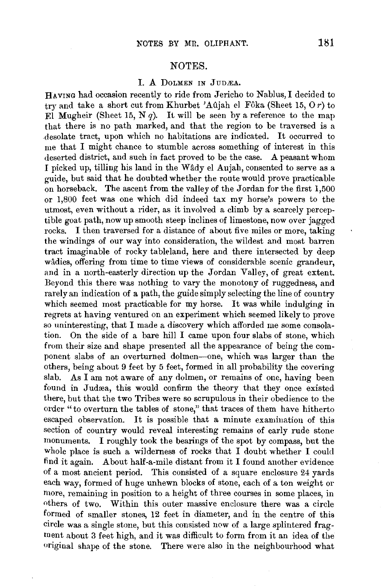## NOTES.

## I. A DOLMEN IN JUDÆA.

HAVING had occasion recently to ride from Jericho to Nablus, I decided to try and take a short cut from Khurbet 'Aûjah el Fôka (Sheet 15,  $0r$ ) to El Mugheir (Sheet 15, N q). It will be seen by a reference to the map that there is no path marked, and that the region to be traversed is a desolate tract, upon which no habitations are indicated. It occuned to me that I might chance to stumble across something of interest in this deserted district, and such in fact proved to be the case. A peasant whom I picked up, tilling his land in the Wady el Aujah, consented to serve as a guide, but said that he doubted whether the route would prove practicable on horseback. The ascent from the valley of the Jordan for the first 1,500 or 1,800 feet was one which did indeed tax my horse's powers to the utmost, even without a rider, as it involved a climb by a scarcely perceptible goat path, now up smooth steep inclines of limestone, now over jagged rocks. I then traversed for a distance of about five miles or more, taking the windings of our way into consideration, the wildest and most barren tract imaginable of rocky tableland, here and there intersected by deep wâdies, offering from time to time views of considerable scenic grandeur, and in a north-easterly direction up the Jordan Valley, of great extent. Beyond this there was nothing to vary the monotony of ruggedness, and rarely an indication of a path, the guide simply selecting the line of country which seemed most practicable for my horse. It was while indulging in regrets at having ventured on an experiment which seemed likely to prove so uninteresting, that I made a discovery which afforded me some consolation. On the side of a bare hill I came upon four slabs of stone, which from their size and shape presented all the appearance of being the component slabs of an overturned dolmen-one, which was larger than the others, being about 9 feet by 5 feet, formed in all probability the covering slab. As I am not aware of any dolmen, or remains of one, having been found in Judæa, this would confirm the theory that they once existed there, but that the two Tribes were so scrupulous in their obedience to the order "to overturn the tables of stone," that traces of them have hitherto escaped observation. It is possible that a minute examination of this section of country would reveal interesting remains of early rude stone monuments. I roughly took the bearings of the spot by compass, but the whole place is such a wilderness of rocks that I doubt whether I could find it again. About half-a-mile distant from it I found another evidence of a most ancient period. This consisted of a square enclosure 24 yards each way, formed of huge unhewn blocks of stone, each of a ton weight or more, remaining in position to a height of three courses in some places, in others of two. Within this outer massive enclosure there was a circle formed of smaller stones, 12 feet in diameter, and in the centre of this circle was a single stone, but this consisted now of a large splintered fragment about 3 feet high, and it was difficult to form from it an idea of the original shape of the stone. There were also in the neighbourhood what